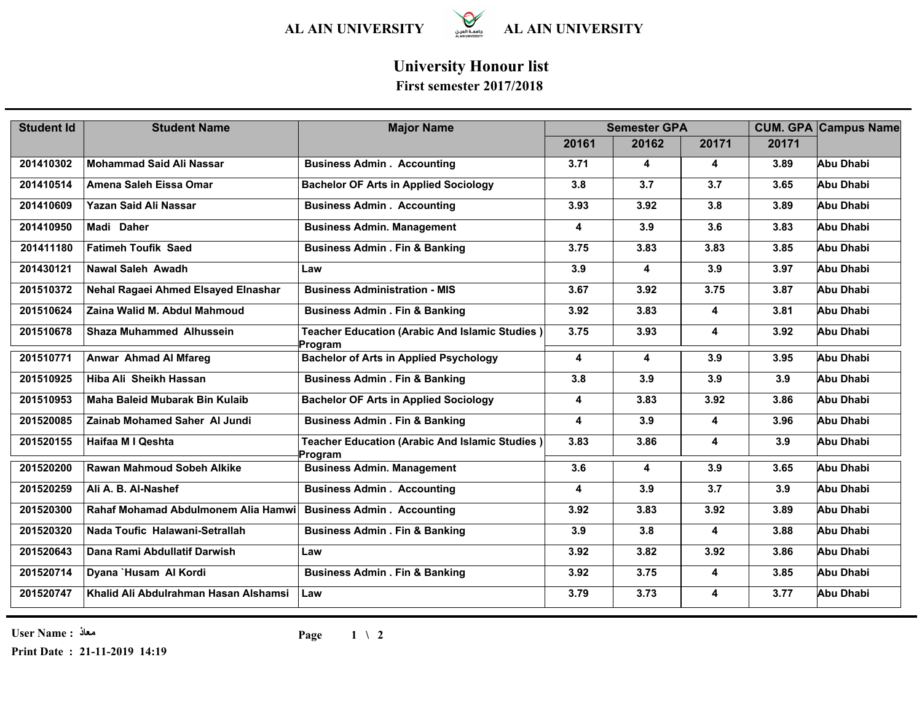

## **University Honour list**

## **First semester 2017/2018**

| <b>Student Id</b> | <b>Student Name</b>                   | <b>Major Name</b>                                                | <b>Semester GPA</b> |       |                         |       | <b>CUM. GPA Campus Name</b> |
|-------------------|---------------------------------------|------------------------------------------------------------------|---------------------|-------|-------------------------|-------|-----------------------------|
|                   |                                       |                                                                  | 20161               | 20162 | 20171                   | 20171 |                             |
| 201410302         | <b>Mohammad Said Ali Nassar</b>       | <b>Business Admin . Accounting</b>                               | 3.71                | 4     | $\overline{\mathbf{4}}$ | 3.89  | Abu Dhabi                   |
| 201410514         | Amena Saleh Eissa Omar                | <b>Bachelor OF Arts in Applied Sociology</b>                     | 3.8                 | 3.7   | 3.7                     | 3.65  | Abu Dhabi                   |
| 201410609         | Yazan Said Ali Nassar                 | <b>Business Admin . Accounting</b>                               | 3.93                | 3.92  | 3.8                     | 3.89  | Abu Dhabi                   |
| 201410950         | Madi Daher                            | <b>Business Admin. Management</b>                                | 4                   | 3.9   | 3.6                     | 3.83  | Abu Dhabi                   |
| 201411180         | <b>Fatimeh Toufik Saed</b>            | <b>Business Admin . Fin &amp; Banking</b>                        | 3.75                | 3.83  | 3.83                    | 3.85  | Abu Dhabi                   |
| 201430121         | <b>Nawal Saleh Awadh</b>              | Law                                                              | 3.9                 | 4     | 3.9                     | 3.97  | Abu Dhabi                   |
| 201510372         | Nehal Ragaei Ahmed Elsayed Elnashar   | <b>Business Administration - MIS</b>                             | 3.67                | 3.92  | 3.75                    | 3.87  | Abu Dhabi                   |
| 201510624         | Zaina Walid M. Abdul Mahmoud          | <b>Business Admin . Fin &amp; Banking</b>                        | 3.92                | 3.83  | 4                       | 3.81  | Abu Dhabi                   |
| 201510678         | <b>Shaza Muhammed Alhussein</b>       | <b>Teacher Education (Arabic And Islamic Studies)</b><br>Program | 3.75                | 3.93  | 4                       | 3.92  | Abu Dhabi                   |
| 201510771         | <b>Anwar Ahmad Al Mfareg</b>          | <b>Bachelor of Arts in Applied Psychology</b>                    | 4                   | 4     | 3.9                     | 3.95  | Abu Dhabi                   |
| 201510925         | Hiba Ali Sheikh Hassan                | <b>Business Admin . Fin &amp; Banking</b>                        | 3.8                 | 3.9   | 3.9                     | 3.9   | Abu Dhabi                   |
| 201510953         | Maha Baleid Mubarak Bin Kulaib        | <b>Bachelor OF Arts in Applied Sociology</b>                     | 4                   | 3.83  | 3.92                    | 3.86  | Abu Dhabi                   |
| 201520085         | <b>Zainab Mohamed Saher Al Jundi</b>  | <b>Business Admin . Fin &amp; Banking</b>                        | 4                   | 3.9   | 4                       | 3.96  | Abu Dhabi                   |
| 201520155         | Haifaa M I Qeshta                     | Teacher Education (Arabic And Islamic Studies)<br>Program        | 3.83                | 3.86  | 4                       | 3.9   | Abu Dhabi                   |
| 201520200         | Rawan Mahmoud Sobeh Alkike            | <b>Business Admin. Management</b>                                | 3.6                 | 4     | 3.9                     | 3.65  | Abu Dhabi                   |
| 201520259         | Ali A. B. Al-Nashef                   | <b>Business Admin . Accounting</b>                               | 4                   | 3.9   | 3.7                     | 3.9   | Abu Dhabi                   |
| 201520300         | Rahaf Mohamad Abdulmonem Alia Hamwi   | <b>Business Admin . Accounting</b>                               | 3.92                | 3.83  | 3.92                    | 3.89  | Abu Dhabi                   |
| 201520320         | Nada Toufic Halawani-Setrallah        | <b>Business Admin . Fin &amp; Banking</b>                        | 3.9                 | 3.8   | 4                       | 3.88  | Abu Dhabi                   |
| 201520643         | Dana Rami Abdullatif Darwish          | Law                                                              | 3.92                | 3.82  | 3.92                    | 3.86  | Abu Dhabi                   |
| 201520714         | Dyana `Husam Al Kordi                 | <b>Business Admin . Fin &amp; Banking</b>                        | 3.92                | 3.75  | 4                       | 3.85  | Abu Dhabi                   |
| 201520747         | Khalid Ali Abdulrahman Hasan Alshamsi | Law                                                              | 3.79                | 3.73  | 4                       | 3.77  | Abu Dhabi                   |

**User Name : معاذ**

**Print Date : 21-11-2019 14:19**